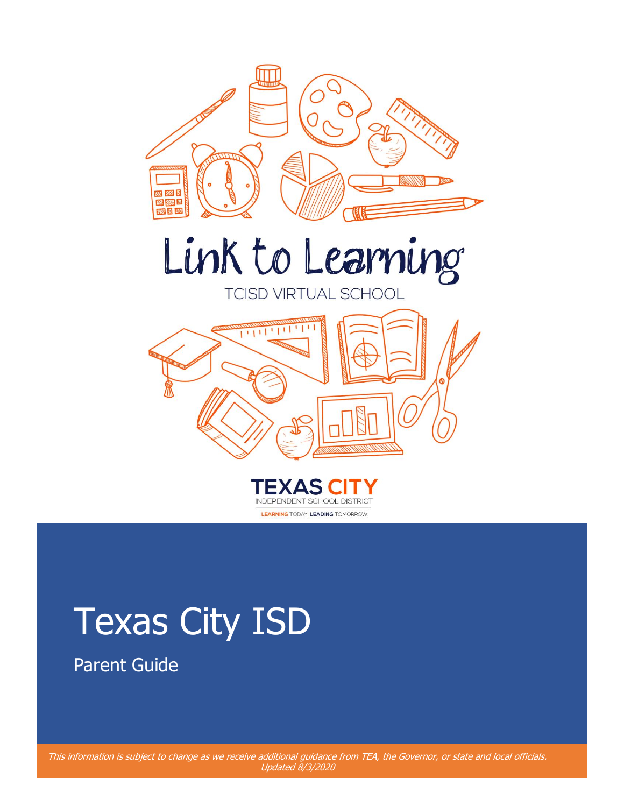





# Texas City ISD

Parent Guide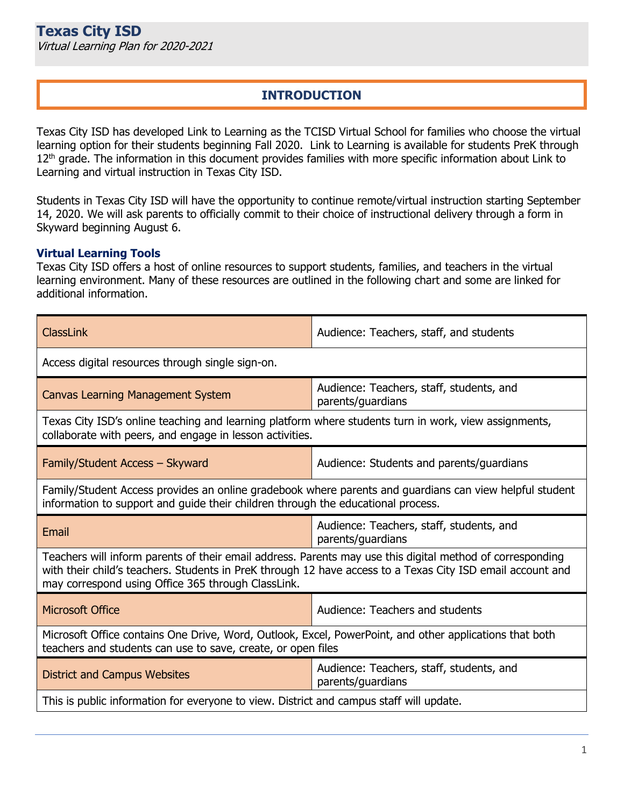# **INTRODUCTION**

Texas City ISD has developed Link to Learning as the TCISD Virtual School for families who choose the virtual learning option for their students beginning Fall 2020. Link to Learning is available for students PreK through 12<sup>th</sup> grade. The information in this document provides families with more specific information about Link to Learning and virtual instruction in Texas City ISD.

Students in Texas City ISD will have the opportunity to continue remote/virtual instruction starting September 14, 2020. We will ask parents to officially commit to their choice of instructional delivery through a form in Skyward beginning August 6.

#### **Virtual Learning Tools**

Texas City ISD offers a host of online resources to support students, families, and teachers in the virtual learning environment. Many of these resources are outlined in the following chart and some are linked for additional information.

| ClassLink                                                                                                                                                                                                                                                                     | Audience: Teachers, staff, and students                       |  |  |  |
|-------------------------------------------------------------------------------------------------------------------------------------------------------------------------------------------------------------------------------------------------------------------------------|---------------------------------------------------------------|--|--|--|
| Access digital resources through single sign-on.                                                                                                                                                                                                                              |                                                               |  |  |  |
| <b>Canvas Learning Management System</b>                                                                                                                                                                                                                                      | Audience: Teachers, staff, students, and<br>parents/guardians |  |  |  |
| Texas City ISD's online teaching and learning platform where students turn in work, view assignments,<br>collaborate with peers, and engage in lesson activities.                                                                                                             |                                                               |  |  |  |
| Family/Student Access - Skyward                                                                                                                                                                                                                                               | Audience: Students and parents/guardians                      |  |  |  |
| Family/Student Access provides an online gradebook where parents and guardians can view helpful student<br>information to support and guide their children through the educational process.                                                                                   |                                                               |  |  |  |
| Audience: Teachers, staff, students, and<br>Email<br>parents/guardians                                                                                                                                                                                                        |                                                               |  |  |  |
| Teachers will inform parents of their email address. Parents may use this digital method of corresponding<br>with their child's teachers. Students in PreK through 12 have access to a Texas City ISD email account and<br>may correspond using Office 365 through ClassLink. |                                                               |  |  |  |
| <b>Microsoft Office</b>                                                                                                                                                                                                                                                       | Audience: Teachers and students                               |  |  |  |
| Microsoft Office contains One Drive, Word, Outlook, Excel, PowerPoint, and other applications that both<br>teachers and students can use to save, create, or open files                                                                                                       |                                                               |  |  |  |
| <b>District and Campus Websites</b>                                                                                                                                                                                                                                           | Audience: Teachers, staff, students, and                      |  |  |  |
|                                                                                                                                                                                                                                                                               | parents/guardians                                             |  |  |  |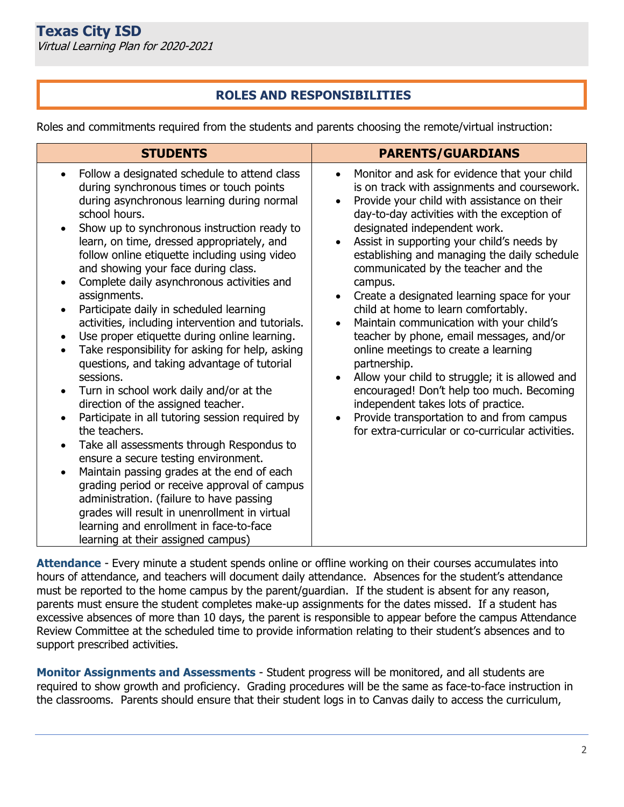# **ROLES AND RESPONSIBILITIES**

Roles and commitments required from the students and parents choosing the remote/virtual instruction:

| <b>STUDENTS</b>                                                                                                                                                                                                                                                                                                                                                                                                                                                                                                                                                                                                                                                                                                                                                                                                                                                                                                                                                                                                                                                                                                                                                                                                                                                               | <b>PARENTS/GUARDIANS</b>                                                                                                                                                                                                                                                                                                                                                                                                                                                                                                                                                                                                                                                                                                                                                                                                                                                                                      |  |  |
|-------------------------------------------------------------------------------------------------------------------------------------------------------------------------------------------------------------------------------------------------------------------------------------------------------------------------------------------------------------------------------------------------------------------------------------------------------------------------------------------------------------------------------------------------------------------------------------------------------------------------------------------------------------------------------------------------------------------------------------------------------------------------------------------------------------------------------------------------------------------------------------------------------------------------------------------------------------------------------------------------------------------------------------------------------------------------------------------------------------------------------------------------------------------------------------------------------------------------------------------------------------------------------|---------------------------------------------------------------------------------------------------------------------------------------------------------------------------------------------------------------------------------------------------------------------------------------------------------------------------------------------------------------------------------------------------------------------------------------------------------------------------------------------------------------------------------------------------------------------------------------------------------------------------------------------------------------------------------------------------------------------------------------------------------------------------------------------------------------------------------------------------------------------------------------------------------------|--|--|
| Follow a designated schedule to attend class<br>during synchronous times or touch points<br>during asynchronous learning during normal<br>school hours.<br>Show up to synchronous instruction ready to<br>learn, on time, dressed appropriately, and<br>follow online etiquette including using video<br>and showing your face during class.<br>Complete daily asynchronous activities and<br>$\bullet$<br>assignments.<br>Participate daily in scheduled learning<br>$\bullet$<br>activities, including intervention and tutorials.<br>Use proper etiquette during online learning.<br>Take responsibility for asking for help, asking<br>$\bullet$<br>questions, and taking advantage of tutorial<br>sessions.<br>Turn in school work daily and/or at the<br>$\bullet$<br>direction of the assigned teacher.<br>Participate in all tutoring session required by<br>$\bullet$<br>the teachers.<br>Take all assessments through Respondus to<br>ensure a secure testing environment.<br>Maintain passing grades at the end of each<br>$\bullet$<br>grading period or receive approval of campus<br>administration. (failure to have passing<br>grades will result in unenrollment in virtual<br>learning and enrollment in face-to-face<br>learning at their assigned campus) | Monitor and ask for evidence that your child<br>is on track with assignments and coursework.<br>Provide your child with assistance on their<br>$\bullet$<br>day-to-day activities with the exception of<br>designated independent work.<br>Assist in supporting your child's needs by<br>establishing and managing the daily schedule<br>communicated by the teacher and the<br>campus.<br>Create a designated learning space for your<br>$\bullet$<br>child at home to learn comfortably.<br>Maintain communication with your child's<br>$\bullet$<br>teacher by phone, email messages, and/or<br>online meetings to create a learning<br>partnership.<br>Allow your child to struggle; it is allowed and<br>encouraged! Don't help too much. Becoming<br>independent takes lots of practice.<br>Provide transportation to and from campus<br>$\bullet$<br>for extra-curricular or co-curricular activities. |  |  |

**Attendance** - Every minute a student spends online or offline working on their courses accumulates into hours of attendance, and teachers will document daily attendance. Absences for the student's attendance must be reported to the home campus by the parent/guardian. If the student is absent for any reason, parents must ensure the student completes make-up assignments for the dates missed. If a student has excessive absences of more than 10 days, the parent is responsible to appear before the campus Attendance Review Committee at the scheduled time to provide information relating to their student's absences and to support prescribed activities.

**Monitor Assignments and Assessments** - Student progress will be monitored, and all students are required to show growth and proficiency. Grading procedures will be the same as face-to-face instruction in the classrooms. Parents should ensure that their student logs in to Canvas daily to access the curriculum,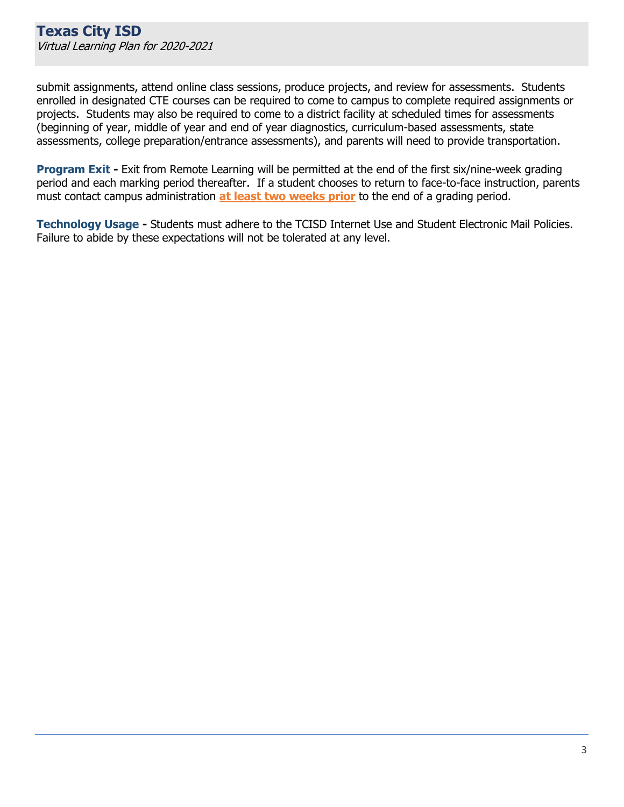submit assignments, attend online class sessions, produce projects, and review for assessments. Students enrolled in designated CTE courses can be required to come to campus to complete required assignments or projects. Students may also be required to come to a district facility at scheduled times for assessments (beginning of year, middle of year and end of year diagnostics, curriculum-based assessments, state assessments, college preparation/entrance assessments), and parents will need to provide transportation.

**Program Exit -** Exit from Remote Learning will be permitted at the end of the first six/nine-week grading period and each marking period thereafter. If a student chooses to return to face-to-face instruction, parents must contact campus administration **at least two weeks prior** to the end of a grading period.

**Technology Usage -** Students must adhere to the TCISD Internet Use and Student Electronic Mail Policies. Failure to abide by these expectations will not be tolerated at any level.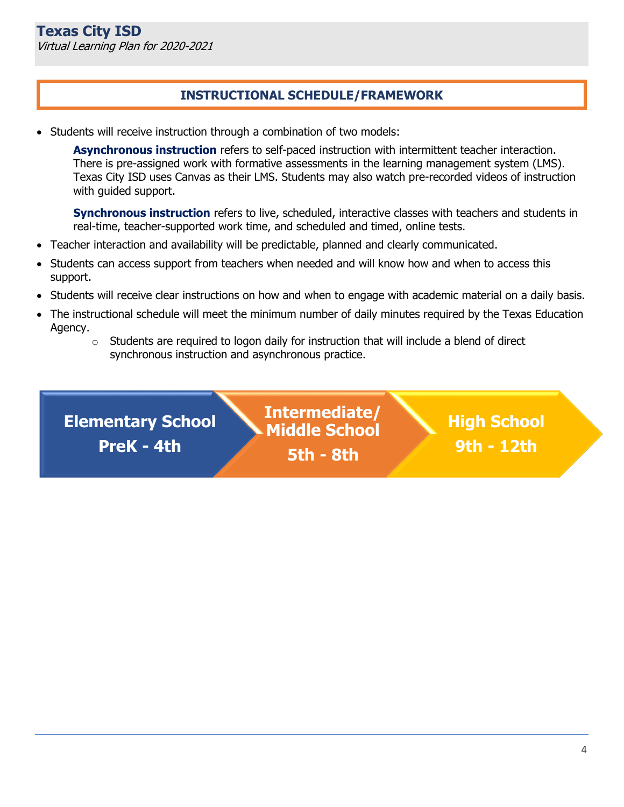# **INSTRUCTIONAL SCHEDULE/FRAMEWORK**

• Students will receive instruction through a combination of two models:

**Asynchronous instruction** refers to self-paced instruction with intermittent teacher interaction. There is pre-assigned work with formative assessments in the learning management system (LMS). Texas City ISD uses Canvas as their LMS. Students may also watch pre-recorded videos of instruction with guided support.

**Synchronous instruction** refers to live, scheduled, interactive classes with teachers and students in real-time, teacher-supported work time, and scheduled and timed, online tests.

- Teacher interaction and availability will be predictable, planned and clearly communicated.
- Students can access support from teachers when needed and will know how and when to access this support.
- Students will receive clear instructions on how and when to engage with academic material on a daily basis.
- The instructional schedule will meet the minimum number of daily minutes required by the Texas Education Agency.
	- $\circ$  Students are required to logon daily for instruction that will include a blend of direct synchronous instruction and asynchronous practice.

**Elementary School PreK - 4th Intermediate/ Middle School 5th - 8th**

**High School**

**9th - 12th**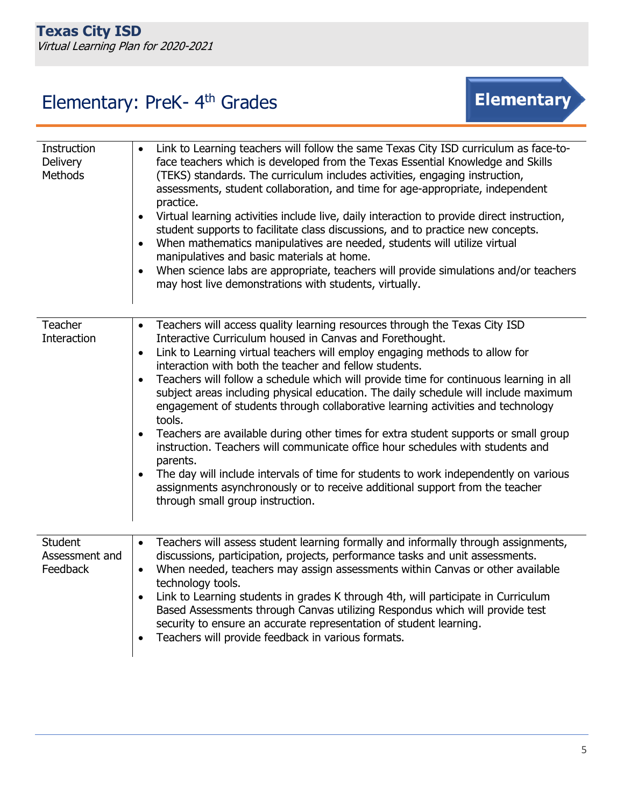# Elementary: PreK- 4<sup>th</sup> Grades



| Instruction<br><b>Delivery</b><br><b>Methods</b> | Link to Learning teachers will follow the same Texas City ISD curriculum as face-to-<br>$\bullet$<br>face teachers which is developed from the Texas Essential Knowledge and Skills<br>(TEKS) standards. The curriculum includes activities, engaging instruction,<br>assessments, student collaboration, and time for age-appropriate, independent<br>practice.<br>Virtual learning activities include live, daily interaction to provide direct instruction,<br>$\bullet$<br>student supports to facilitate class discussions, and to practice new concepts.<br>When mathematics manipulatives are needed, students will utilize virtual<br>$\bullet$<br>manipulatives and basic materials at home.<br>When science labs are appropriate, teachers will provide simulations and/or teachers<br>$\bullet$<br>may host live demonstrations with students, virtually.                                                                                                                                                            |
|--------------------------------------------------|---------------------------------------------------------------------------------------------------------------------------------------------------------------------------------------------------------------------------------------------------------------------------------------------------------------------------------------------------------------------------------------------------------------------------------------------------------------------------------------------------------------------------------------------------------------------------------------------------------------------------------------------------------------------------------------------------------------------------------------------------------------------------------------------------------------------------------------------------------------------------------------------------------------------------------------------------------------------------------------------------------------------------------|
| <b>Teacher</b><br>Interaction                    | Teachers will access quality learning resources through the Texas City ISD<br>$\bullet$<br>Interactive Curriculum housed in Canvas and Forethought.<br>Link to Learning virtual teachers will employ engaging methods to allow for<br>$\bullet$<br>interaction with both the teacher and fellow students.<br>Teachers will follow a schedule which will provide time for continuous learning in all<br>$\bullet$<br>subject areas including physical education. The daily schedule will include maximum<br>engagement of students through collaborative learning activities and technology<br>tools.<br>Teachers are available during other times for extra student supports or small group<br>$\bullet$<br>instruction. Teachers will communicate office hour schedules with students and<br>parents.<br>The day will include intervals of time for students to work independently on various<br>$\bullet$<br>assignments asynchronously or to receive additional support from the teacher<br>through small group instruction. |
| Student<br>Assessment and<br>Feedback            | Teachers will assess student learning formally and informally through assignments,<br>$\bullet$<br>discussions, participation, projects, performance tasks and unit assessments.<br>When needed, teachers may assign assessments within Canvas or other available<br>$\bullet$<br>technology tools.<br>Link to Learning students in grades K through 4th, will participate in Curriculum<br>$\bullet$<br>Based Assessments through Canvas utilizing Respondus which will provide test<br>security to ensure an accurate representation of student learning.<br>Teachers will provide feedback in various formats.                                                                                                                                                                                                                                                                                                                                                                                                               |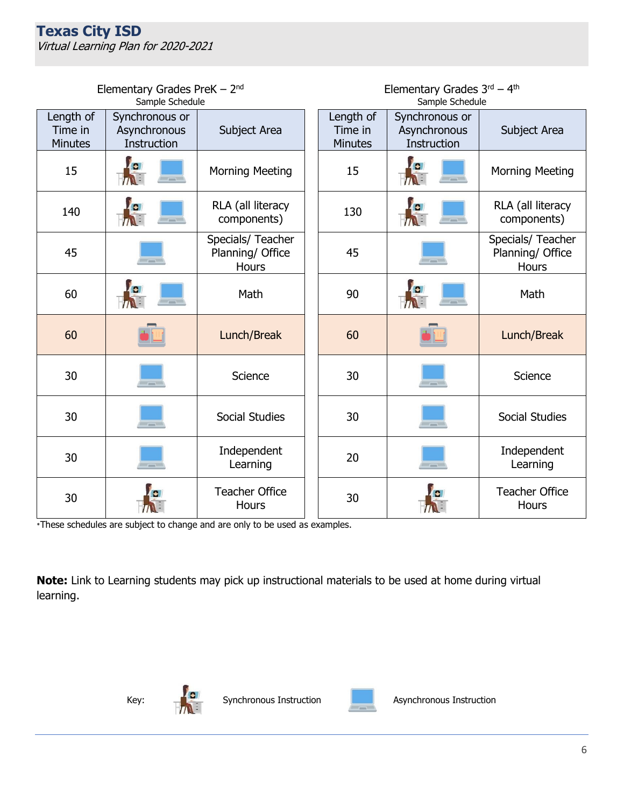|                                        | Elementary Grades PreK $-2nd$                 |                                                | Elementary Grades $3rd - 4th$ |                                        |                                               |                                                       |
|----------------------------------------|-----------------------------------------------|------------------------------------------------|-------------------------------|----------------------------------------|-----------------------------------------------|-------------------------------------------------------|
|                                        | Sample Schedule                               |                                                |                               | Sample Schedule                        |                                               |                                                       |
| Length of<br>Time in<br><b>Minutes</b> | Synchronous or<br>Asynchronous<br>Instruction | Subject Area                                   |                               | Length of<br>Time in<br><b>Minutes</b> | Synchronous or<br>Asynchronous<br>Instruction | Subject Area                                          |
| 15                                     |                                               | <b>Morning Meeting</b>                         |                               | 15                                     |                                               | <b>Morning Meeting</b>                                |
| 140                                    | $\sim$                                        | RLA (all literacy<br>components)               |                               | 130                                    | $\overline{\phantom{a}}$                      | RLA (all literacy<br>components)                      |
| 45                                     | $\sim$                                        | Specials/ Teacher<br>Planning/ Office<br>Hours |                               | 45                                     | $\sim$                                        | Specials/ Teacher<br>Planning/ Office<br><b>Hours</b> |
| 60                                     |                                               | Math                                           |                               | 90                                     |                                               | Math                                                  |
| 60                                     |                                               | Lunch/Break                                    |                               | 60                                     |                                               | Lunch/Break                                           |
| 30                                     | $ -$                                          | Science                                        |                               | 30                                     | $\frac{1}{2}$                                 | Science                                               |
| 30                                     | $\frac{1}{2}$                                 | Social Studies                                 |                               | 30                                     | $\frac{1}{2}$                                 | Social Studies                                        |
| 30                                     | $ -$                                          | Independent<br>Learning                        |                               | 20                                     | $ -$                                          | Independent<br>Learning                               |
| 30                                     |                                               | <b>Teacher Office</b><br>Hours                 |                               | 30                                     |                                               | <b>Teacher Office</b><br>Hours                        |

\*These schedules are subject to change and are only to be used as examples.

**Note:** Link to Learning students may pick up instructional materials to be used at home during virtual learning.



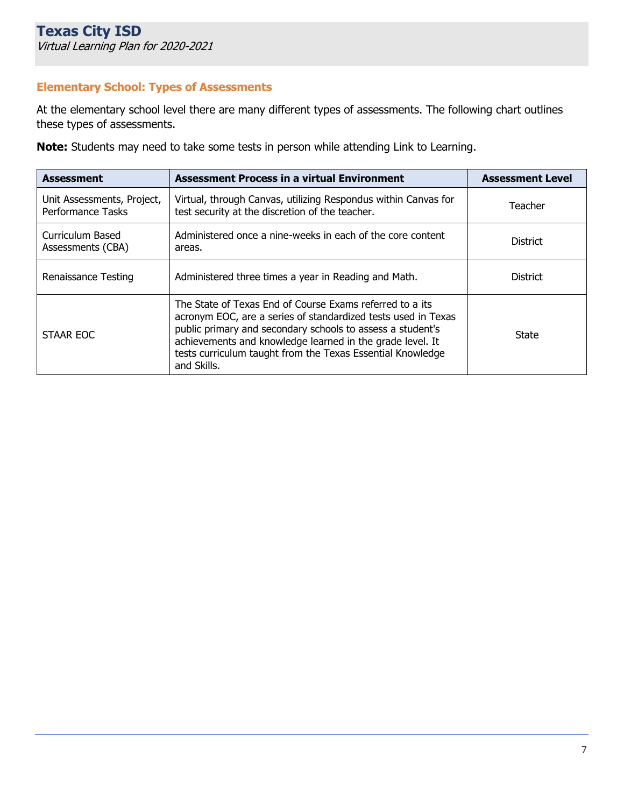## **Elementary School: Types of Assessments**

At the elementary school level there are many different types of assessments. The following chart outlines these types of assessments.

**Note:** Students may need to take some tests in person while attending Link to Learning.

| <b>Assessment</b>                                      | <b>Assessment Process in a virtual Environment</b>                                                                                                                                                                                                                                                                                | <b>Assessment Level</b> |
|--------------------------------------------------------|-----------------------------------------------------------------------------------------------------------------------------------------------------------------------------------------------------------------------------------------------------------------------------------------------------------------------------------|-------------------------|
| Unit Assessments, Project,<br><b>Performance Tasks</b> | Virtual, through Canvas, utilizing Respondus within Canvas for<br>test security at the discretion of the teacher.                                                                                                                                                                                                                 | Teacher                 |
| Curriculum Based<br>Assessments (CBA)                  | Administered once a nine-weeks in each of the core content<br>areas.                                                                                                                                                                                                                                                              | <b>District</b>         |
| Renaissance Testing                                    | Administered three times a year in Reading and Math.                                                                                                                                                                                                                                                                              | <b>District</b>         |
| STAAR EOC                                              | The State of Texas End of Course Exams referred to a its<br>acronym EOC, are a series of standardized tests used in Texas<br>public primary and secondary schools to assess a student's<br>achievements and knowledge learned in the grade level. It<br>tests curriculum taught from the Texas Essential Knowledge<br>and Skills. | State                   |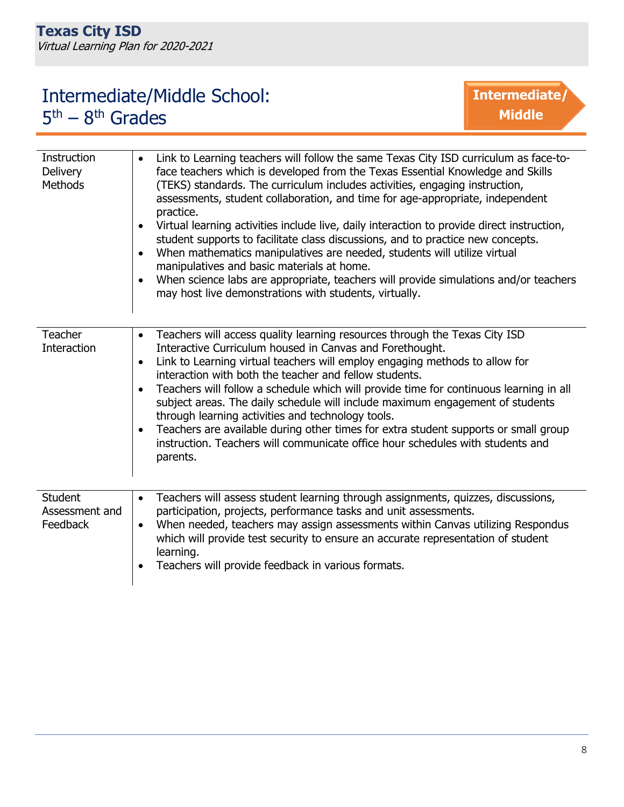# Intermediate/Middle School: 5<sup>th</sup> – 8<sup>th</sup> Grades



| <b>Instruction</b><br><b>Delivery</b><br><b>Methods</b> | Link to Learning teachers will follow the same Texas City ISD curriculum as face-to-<br>face teachers which is developed from the Texas Essential Knowledge and Skills<br>(TEKS) standards. The curriculum includes activities, engaging instruction,<br>assessments, student collaboration, and time for age-appropriate, independent<br>practice.<br>Virtual learning activities include live, daily interaction to provide direct instruction,<br>$\bullet$<br>student supports to facilitate class discussions, and to practice new concepts.<br>When mathematics manipulatives are needed, students will utilize virtual<br>$\bullet$<br>manipulatives and basic materials at home.<br>When science labs are appropriate, teachers will provide simulations and/or teachers<br>$\bullet$<br>may host live demonstrations with students, virtually. |
|---------------------------------------------------------|---------------------------------------------------------------------------------------------------------------------------------------------------------------------------------------------------------------------------------------------------------------------------------------------------------------------------------------------------------------------------------------------------------------------------------------------------------------------------------------------------------------------------------------------------------------------------------------------------------------------------------------------------------------------------------------------------------------------------------------------------------------------------------------------------------------------------------------------------------|
| <b>Teacher</b><br>Interaction                           | Teachers will access quality learning resources through the Texas City ISD<br>$\bullet$<br>Interactive Curriculum housed in Canvas and Forethought.<br>Link to Learning virtual teachers will employ engaging methods to allow for<br>$\bullet$<br>interaction with both the teacher and fellow students.<br>Teachers will follow a schedule which will provide time for continuous learning in all<br>$\bullet$<br>subject areas. The daily schedule will include maximum engagement of students<br>through learning activities and technology tools.<br>Teachers are available during other times for extra student supports or small group<br>$\bullet$<br>instruction. Teachers will communicate office hour schedules with students and<br>parents.                                                                                                |
| <b>Student</b><br>Assessment and<br>Feedback            | Teachers will assess student learning through assignments, quizzes, discussions,<br>$\bullet$<br>participation, projects, performance tasks and unit assessments.<br>When needed, teachers may assign assessments within Canvas utilizing Respondus<br>$\bullet$<br>which will provide test security to ensure an accurate representation of student<br>learning.<br>Teachers will provide feedback in various formats.                                                                                                                                                                                                                                                                                                                                                                                                                                 |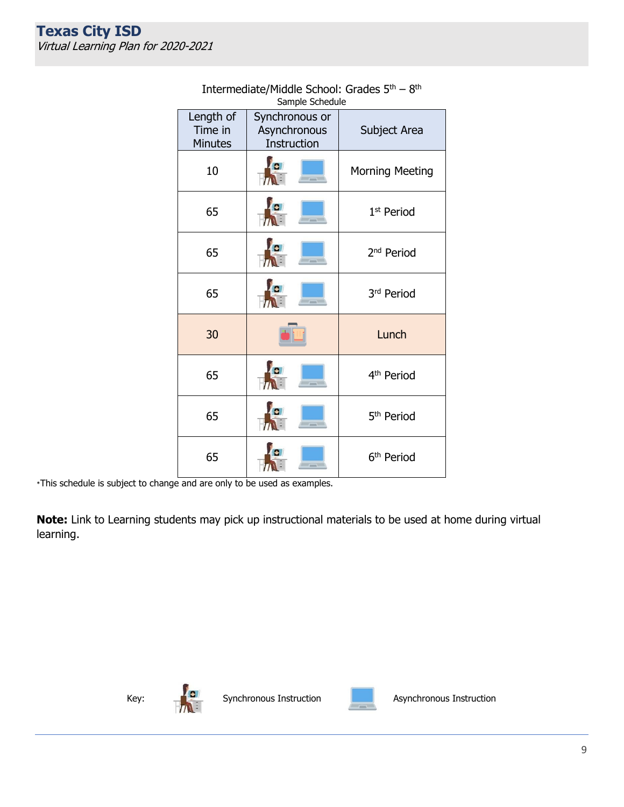| Sample Scriedule                |                                               |                        |  |  |
|---------------------------------|-----------------------------------------------|------------------------|--|--|
| Length of<br>Time in<br>Minutes | Synchronous or<br>Asynchronous<br>Instruction | Subject Area           |  |  |
| 10                              | $\bullet$<br>$-$                              | Morning Meeting        |  |  |
| 65                              | $= -$                                         | 1 <sup>st</sup> Period |  |  |
| 65                              | <b>A</b><br>$\sim$                            | 2 <sup>nd</sup> Period |  |  |
| 65                              | $-$                                           | 3rd Period             |  |  |
| 30                              |                                               | Lunch                  |  |  |
| 65                              | $-$                                           | 4 <sup>th</sup> Period |  |  |
| 65                              | ---                                           | 5 <sup>th</sup> Period |  |  |
| 65                              |                                               | 6 <sup>th</sup> Period |  |  |

#### Intermediate/Middle School: Grades 5<sup>th</sup> – 8<sup>th</sup> Sample Schedule

\*This schedule is subject to change and are only to be used as examples.

**Note:** Link to Learning students may pick up instructional materials to be used at home during virtual learning.





Key:  $\begin{array}{ccc} \begin{array}{ccc} \hline \end{array} & \begin{array}{ccc} \hline \end{array} & \begin{array}{ccc} \hline \end{array} & \begin{array}{ccc} \hline \end{array} & \begin{array}{ccc} \hline \end{array} & \begin{array}{ccc} \hline \end{array} & \begin{array}{ccc} \hline \end{array} & \begin{array}{ccc} \hline \end{array} & \begin{array}{ccc} \hline \end{array} & \begin{array}{ccc} \hline \end{array} & \begin{array}{ccc} \hline \end{array} & \begin{array}{ccc} \hline \end{array} & \begin{array}{ccc} \hline \end{array} &$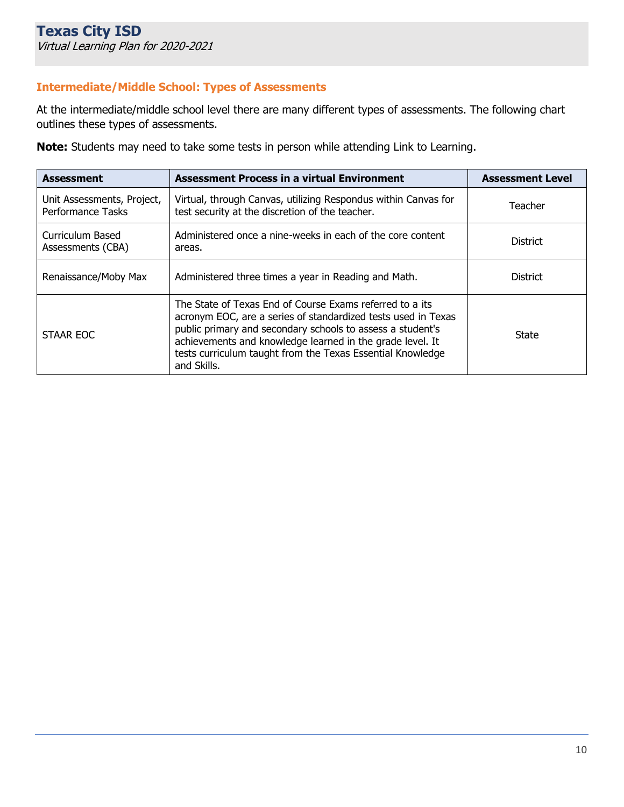# **Intermediate/Middle School: Types of Assessments**

At the intermediate/middle school level there are many different types of assessments. The following chart outlines these types of assessments.

**Note:** Students may need to take some tests in person while attending Link to Learning.

| <b>Assessment</b>                                      | <b>Assessment Process in a virtual Environment</b>                                                                                                                                                                                                                                                                                | <b>Assessment Level</b> |
|--------------------------------------------------------|-----------------------------------------------------------------------------------------------------------------------------------------------------------------------------------------------------------------------------------------------------------------------------------------------------------------------------------|-------------------------|
| Unit Assessments, Project,<br><b>Performance Tasks</b> | Virtual, through Canvas, utilizing Respondus within Canvas for<br>test security at the discretion of the teacher.                                                                                                                                                                                                                 | Teacher                 |
| Curriculum Based<br>Assessments (CBA)                  | Administered once a nine-weeks in each of the core content<br>areas.                                                                                                                                                                                                                                                              | <b>District</b>         |
| Renaissance/Moby Max                                   | Administered three times a year in Reading and Math.                                                                                                                                                                                                                                                                              | <b>District</b>         |
| STAAR EOC                                              | The State of Texas End of Course Exams referred to a its<br>acronym EOC, are a series of standardized tests used in Texas<br>public primary and secondary schools to assess a student's<br>achievements and knowledge learned in the grade level. It<br>tests curriculum taught from the Texas Essential Knowledge<br>and Skills. | State                   |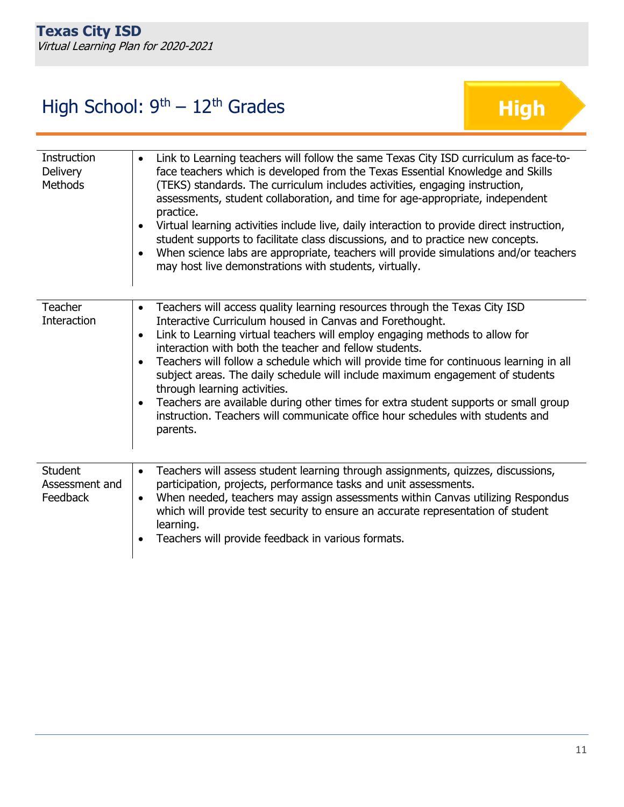# High School:  $9<sup>th</sup> - 12<sup>th</sup>$  Grades

| Instruction<br><b>Delivery</b><br><b>Methods</b> | Link to Learning teachers will follow the same Texas City ISD curriculum as face-to-<br>$\bullet$<br>face teachers which is developed from the Texas Essential Knowledge and Skills<br>(TEKS) standards. The curriculum includes activities, engaging instruction,<br>assessments, student collaboration, and time for age-appropriate, independent<br>practice.<br>Virtual learning activities include live, daily interaction to provide direct instruction,<br>$\bullet$<br>student supports to facilitate class discussions, and to practice new concepts.<br>When science labs are appropriate, teachers will provide simulations and/or teachers<br>$\bullet$<br>may host live demonstrations with students, virtually.       |
|--------------------------------------------------|-------------------------------------------------------------------------------------------------------------------------------------------------------------------------------------------------------------------------------------------------------------------------------------------------------------------------------------------------------------------------------------------------------------------------------------------------------------------------------------------------------------------------------------------------------------------------------------------------------------------------------------------------------------------------------------------------------------------------------------|
| <b>Teacher</b><br><b>Interaction</b>             | Teachers will access quality learning resources through the Texas City ISD<br>$\bullet$<br>Interactive Curriculum housed in Canvas and Forethought.<br>Link to Learning virtual teachers will employ engaging methods to allow for<br>$\bullet$<br>interaction with both the teacher and fellow students.<br>Teachers will follow a schedule which will provide time for continuous learning in all<br>$\bullet$<br>subject areas. The daily schedule will include maximum engagement of students<br>through learning activities.<br>Teachers are available during other times for extra student supports or small group<br>$\bullet$<br>instruction. Teachers will communicate office hour schedules with students and<br>parents. |
| <b>Student</b><br>Assessment and<br>Feedback     | Teachers will assess student learning through assignments, quizzes, discussions,<br>$\bullet$<br>participation, projects, performance tasks and unit assessments.<br>When needed, teachers may assign assessments within Canvas utilizing Respondus<br>$\bullet$<br>which will provide test security to ensure an accurate representation of student<br>learning.<br>Teachers will provide feedback in various formats.                                                                                                                                                                                                                                                                                                             |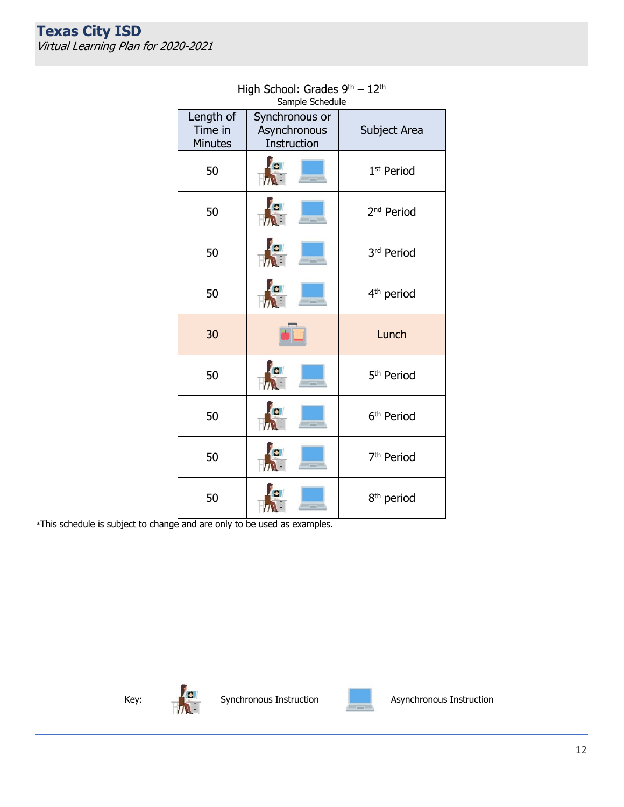| Jampic Jancaalc                 |                                               |                        |  |  |
|---------------------------------|-----------------------------------------------|------------------------|--|--|
| Length of<br>Time in<br>Minutes | Synchronous or<br>Asynchronous<br>Instruction | Subject Area           |  |  |
| 50                              | $\lambda$<br>$-$<br>$T\Lambda$                | 1 <sup>st</sup> Period |  |  |
| 50                              | <b>O</b><br>$ -$                              | 2 <sup>nd</sup> Period |  |  |
| 50                              | À.<br>$=$ $=$ $=$                             | 3rd Period             |  |  |
| 50                              | $\overline{a}$                                | 4 <sup>th</sup> period |  |  |
| 30                              |                                               | Lunch                  |  |  |
| 50                              | G.<br>$ -$                                    | 5 <sup>th</sup> Period |  |  |
| 50                              | le.<br>$  -$                                  | 6 <sup>th</sup> Period |  |  |
| 50                              | $\frac{1}{2}$                                 | 7 <sup>th</sup> Period |  |  |
| 50                              |                                               | 8 <sup>th</sup> period |  |  |

#### High School: Grades 9<sup>th</sup> – 12<sup>th</sup> Sample Schedule

\*This schedule is subject to change and are only to be used as examples.





Key:  $\begin{array}{|c|c|c|c|c|}\n\hline\n\text{Key:} & \begin{array}{|c|c|c|}\n\hline\n\text{Synchronous Instruction} & \text{Matrix} \\
\hline\n\end{array} & \begin{array}{|c|c|c|}\n\hline\n\text{Asynchronous Instruction} & \text{Matrix} \\
\hline\n\end{array} & \begin{array}{|c|c|c|c|}\n\hline\n\end{array} & \begin{array}{|c|c|c|c|}\n\hline\n\end{array} & \begin{array}{|c|c|c|c|}\n\hline\n\end{array} & \begin{array}{|c|c|c|c|}\n\hline\n\end{array$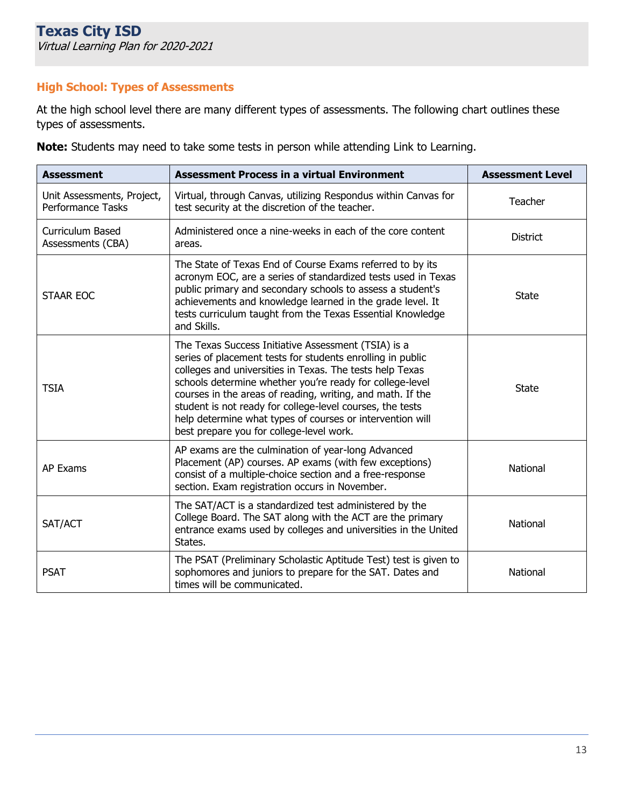# **High School: Types of Assessments**

At the high school level there are many different types of assessments. The following chart outlines these types of assessments.

| <b>Assessment</b>                               | <b>Assessment Process in a virtual Environment</b>                                                                                                                                                                                                                                                                                                                                                                                                                            | <b>Assessment Level</b> |
|-------------------------------------------------|-------------------------------------------------------------------------------------------------------------------------------------------------------------------------------------------------------------------------------------------------------------------------------------------------------------------------------------------------------------------------------------------------------------------------------------------------------------------------------|-------------------------|
| Unit Assessments, Project,<br>Performance Tasks | Virtual, through Canvas, utilizing Respondus within Canvas for<br>test security at the discretion of the teacher.                                                                                                                                                                                                                                                                                                                                                             | Teacher                 |
| Curriculum Based<br>Assessments (CBA)           | Administered once a nine-weeks in each of the core content<br>areas.                                                                                                                                                                                                                                                                                                                                                                                                          | District                |
| <b>STAAR EOC</b>                                | The State of Texas End of Course Exams referred to by its<br>acronym EOC, are a series of standardized tests used in Texas<br>public primary and secondary schools to assess a student's<br>achievements and knowledge learned in the grade level. It<br>tests curriculum taught from the Texas Essential Knowledge<br>and Skills.                                                                                                                                            | <b>State</b>            |
| <b>TSIA</b>                                     | The Texas Success Initiative Assessment (TSIA) is a<br>series of placement tests for students enrolling in public<br>colleges and universities in Texas. The tests help Texas<br>schools determine whether you're ready for college-level<br>courses in the areas of reading, writing, and math. If the<br>student is not ready for college-level courses, the tests<br>help determine what types of courses or intervention will<br>best prepare you for college-level work. | <b>State</b>            |
| <b>AP Exams</b>                                 | AP exams are the culmination of year-long Advanced<br>Placement (AP) courses. AP exams (with few exceptions)<br>consist of a multiple-choice section and a free-response<br>section. Exam registration occurs in November.                                                                                                                                                                                                                                                    | National                |
| SAT/ACT                                         | The SAT/ACT is a standardized test administered by the<br>College Board. The SAT along with the ACT are the primary<br>entrance exams used by colleges and universities in the United<br>States.                                                                                                                                                                                                                                                                              | National                |
| <b>PSAT</b>                                     | The PSAT (Preliminary Scholastic Aptitude Test) test is given to<br>sophomores and juniors to prepare for the SAT. Dates and<br>times will be communicated.                                                                                                                                                                                                                                                                                                                   | National                |

**Note:** Students may need to take some tests in person while attending Link to Learning.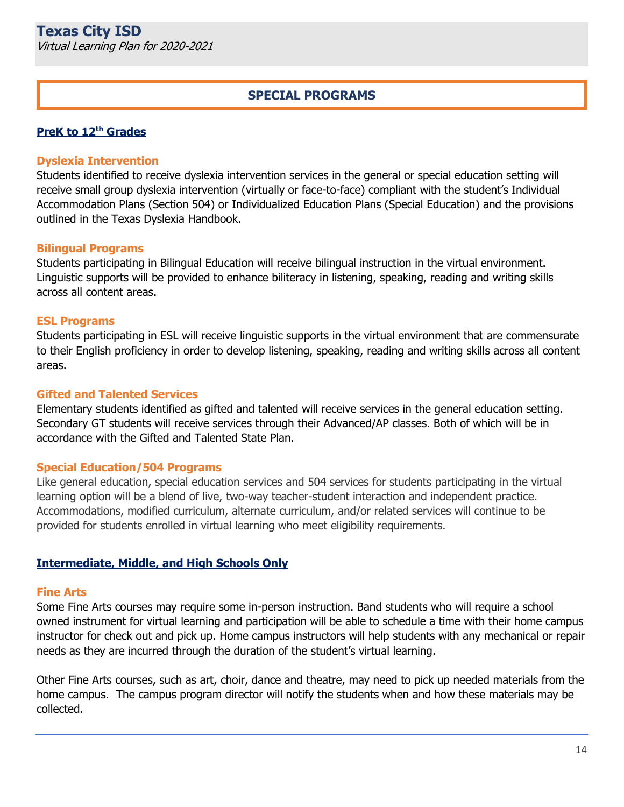# **SPECIAL PROGRAMS**

#### **PreK to 12th Grades**

#### **Dyslexia Intervention**

Students identified to receive dyslexia intervention services in the general or special education setting will receive small group dyslexia intervention (virtually or face-to-face) compliant with the student's Individual Accommodation Plans (Section 504) or Individualized Education Plans (Special Education) and the provisions outlined in the Texas Dyslexia Handbook.

#### **Bilingual Programs**

Students participating in Bilingual Education will receive bilingual instruction in the virtual environment. Linguistic supports will be provided to enhance biliteracy in listening, speaking, reading and writing skills across all content areas.

#### **ESL Programs**

Students participating in ESL will receive linguistic supports in the virtual environment that are commensurate to their English proficiency in order to develop listening, speaking, reading and writing skills across all content areas.

#### **Gifted and Talented Services**

Elementary students identified as gifted and talented will receive services in the general education setting. Secondary GT students will receive services through their Advanced/AP classes. Both of which will be in accordance with the Gifted and Talented State Plan.

#### **Special Education/504 Programs**

Like general education, special education services and 504 services for students participating in the virtual learning option will be a blend of live, two-way teacher-student interaction and independent practice. Accommodations, modified curriculum, alternate curriculum, and/or related services will continue to be provided for students enrolled in virtual learning who meet eligibility requirements.

#### **Intermediate, Middle, and High Schools Only**

#### **Fine Arts**

Some Fine Arts courses may require some in-person instruction. Band students who will require a school owned instrument for virtual learning and participation will be able to schedule a time with their home campus instructor for check out and pick up. Home campus instructors will help students with any mechanical or repair needs as they are incurred through the duration of the student's virtual learning.

Other Fine Arts courses, such as art, choir, dance and theatre, may need to pick up needed materials from the home campus. The campus program director will notify the students when and how these materials may be collected.